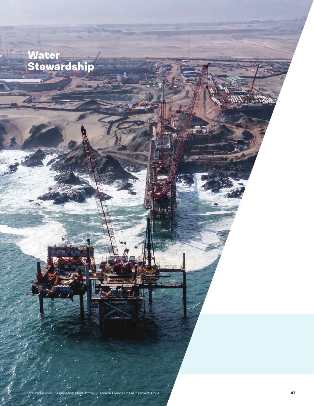# Water Stewardship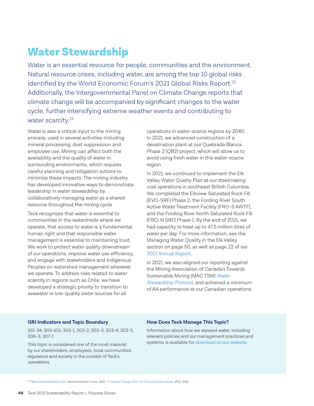# Water Stewardship

Water is an essential resource for people, communities and the environment. Natural resource crises, including water, are among the top 10 global risks identified by the World Economic Forum's 2021 Global Risks Report.<sup>22</sup> Additionally, the Intergovernmental Panel on Climate Change reports that climate change will be accompanied by significant changes to the water cycle, further intensifying extreme weather events and contributing to water scarcity.<sup>23</sup>

Water is also a critical input to the mining process, used in several activities including mineral processing, dust suppression and employee use. Mining can affect both the availability and the quality of water in surrounding environments, which requires careful planning and mitigation actions to minimize these impacts. The mining industry has developed innovative ways to demonstrate leadership in water stewardship by collaboratively managing water as a shared resource throughout the mining cycle.

Teck recognizes that water is essential to communities in the watersheds where we operate, that access to water is a fundamental human right and that responsible water management is essential to maintaining trust. We work to protect water quality downstream of our operations, improve water use efficiency, and engage with stakeholders and Indigenous Peoples on watershed management wherever we operate. To address risks related to water scarcity in regions such as Chile, we have developed a strategic priority to transition to seawater or low-quality water sources for all

operations in water-scarce regions by 2040. In 2021, we advanced construction of a desalination plant at our Quebrada Blanca Phase 2 (QB2) project, which will allow us to avoid using fresh water in this water-scarce region.

In 2021, we continued to implement the Elk Valley Water Quality Plan at our steelmaking coal operations in southeast British Columbia. We completed the Elkview Saturated Rock Fill (EVO-SRF) Phase 2, the Fording River South Active Water Treatment Facility (FRO-S AWTF), and the Fording River North Saturated Rock Fill (FRO-N SRF) Phase 1. By the end of 2021, we had capacity to treat up to 47.5 million litres of water per day. For more information, see the Managing Water Quality in the Elk Valley section on [page 50,](#page-3-0) as well as page 22 of our [2021 Annual Report.](https://www.teck.com/media/2021-Annual-Report.pdf)

In 2021, we also aligned our reporting against the Mining Association of Canada's Towards Sustainable Mining (MAC TSM) *[Water](https://mining.ca/towards-sustainable-mining/protocols-frameworks/water-stewardship/)  [Stewardship Protocol](https://mining.ca/towards-sustainable-mining/protocols-frameworks/water-stewardship/)*, and achieved a minimum of AA performance at our Canadian operations.

#### **GRI Indicators and Topic Boundary**

102-34, 303-103, 303-1, 303-2, 303-3, 303-4, 303-5, 306-3, 307-1

This topic is considered one of the most material by our shareholders, employees, local communities, regulators and society in the context of Teck's operations.

#### **How Does Teck Manage This Topic?**

Information about how we steward water, including relevant policies and our management practices and systems, is available for [download on our website.](https://www.teck.com/media/Teck_Approach_to_Water_Stewardship_2021.pdf) 

<sup>22</sup> The Global Risk Report 2021. World Economic Forum. 2021. <sup>23</sup> [Climate Change 2021: The Physical Science Basis. I](https://www.ipcc.ch/report/ar6/wg1/downloads/report/IPCC_AR6_WGI_Full_Report.pdf)PCC. 2021.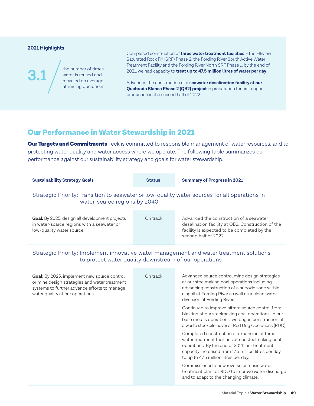#### **2021 Highlights**

**3.1**

the number of times water is reused and recycled on average at mining operations Completed construction of **three water treatment facilities** – the Elkview Saturated Rock Fill (SRF) Phase 2, the Fording River South Active Water Treatment Facility and the Fording River North SRF Phase 1; by the end of 2021, we had capacity to **treat up to 47.5 million litres of water per day**

Advanced the construction of a **seawater desalination facility at our Quebrada Blanca Phase 2 (QB2) project** in preparation for first copper production in the second half of 2022

# Our Performance in Water Stewardship in 2021

**Our Targets and Commitments** Teck is committed to responsible management of water resources, and to protecting water quality and water access where we operate. The following table summarizes our performance against our sustainability strategy and goals for water stewardship.

| <b>Sustainability Strategy Goals</b>                                                                                                                                                    | <b>Status</b> | <b>Summary of Progress in 2021</b>                                                                                                                                                                                                                  |  |  |  |
|-----------------------------------------------------------------------------------------------------------------------------------------------------------------------------------------|---------------|-----------------------------------------------------------------------------------------------------------------------------------------------------------------------------------------------------------------------------------------------------|--|--|--|
| Strategic Priority: Transition to seawater or low-quality water sources for all operations in<br>water-scarce regions by 2040                                                           |               |                                                                                                                                                                                                                                                     |  |  |  |
| Goal: By 2025, design all development projects<br>in water-scarce regions with a seawater or<br>low-quality water source.                                                               | On track      | Advanced the construction of a seawater<br>desalination facility at QB2. Construction of the<br>facility is expected to be completed by the<br>second half of 2022.                                                                                 |  |  |  |
| Strategic Priority: Implement innovative water management and water treatment solutions<br>to protect water quality downstream of our operations                                        |               |                                                                                                                                                                                                                                                     |  |  |  |
| <b>Goal:</b> By 2025, implement new source control<br>or mine design strategies and water treatment<br>systems to further advance efforts to manage<br>water quality at our operations. | On track      | Advanced source control mine design strategies<br>at our steelmaking coal operations including<br>advancing construction of a suboxic zone within<br>a spoil at Fording River as well as a clean water<br>diversion at Fording River.               |  |  |  |
|                                                                                                                                                                                         |               | Continued to improve nitrate source control from<br>blasting at our steelmaking coal operations. In our<br>base metals operations, we began construction of<br>a waste stockpile cover at Red Dog Operations (RDO).                                 |  |  |  |
|                                                                                                                                                                                         |               | Completed construction or expansion of three<br>water treatment facilities at our steelmaking coal<br>operations. By the end of 2021, our treatment<br>capacity increased from 17.5 million litres per day<br>to up to 47.5 million litres per day. |  |  |  |
|                                                                                                                                                                                         |               | Commissioned a new reverse osmosis water<br>treatment plant at RDO to improve water discharge                                                                                                                                                       |  |  |  |

and to adapt to the changing climate.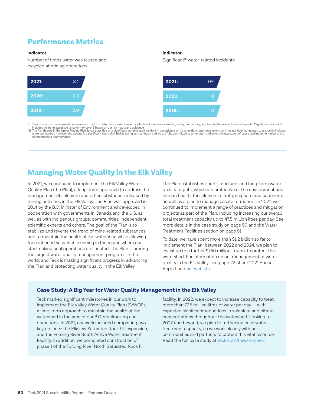## <span id="page-3-0"></span>Performance Metrics

#### **Indicator**

Number of times water was reused and recycled at mining operations



#### **Indicator**

Significant<sup>(1)</sup> water-related incidents



(1) Teck uses a risk management consequence matrix to determine incident sowint metals affety, community, reputational, legal and financial aspects. "Significant incidents"<br>Includes incidents income an experiment to determ

# **2019:** 0 Managing Water Quality in the Elk Valley

In 2021, we continued to implement the Elk Valley Water Quality Plan (the Plan), a long-term approach to address the management of selenium and other substances released by mining activities in the Elk Valley. The Plan was approved in 2014 by the B.C. Minister of Environment and developed in cooperation with governments in Canada and the U.S. as well as with Indigenous groups, communities, independent scientific experts and others. The goal of the Plan is to stabilize and reverse the trend of mine-related substances and to maintain the health of the watershed while allowing for continued sustainable mining in the region where our steelmaking coal operations are located. The Plan is among the largest water quality management programs in the world, and Teck is making significant progress in advancing the Plan and protecting water quality in the Elk Valley.

The Plan establishes short-, medium- and long-term water quality targets, which are protective of the environment and human health, for selenium, nitrate, sulphate and cadmium, as well as a plan to manage calcite formation. In 2021, we continued to implement a range of practices and mitigation projects as part of the Plan, including increasing our overall total treatment capacity up to 47.5 million litres per day. See more details in the case study on page 50 and the Water Treatment Facilities section on [page 51.](#page-4-0)

To date, we have spent more than \$1.2 billion so far to implement the Plan; between 2022 and 2024, we plan to invest up to a further \$750 million in work to protect the watershed. For information on our management of water quality in the Elk Valley, see page 22 of our 2021 Annual Report and [our website.](https://www.teck.com/sustainability/sustainability-topics/water/water-quality-in-the-elk-valley) 

#### **Case Study: A Big Year for Water Quality Management in the Elk Valley**

Teck marked significant milestones in our work to implement the Elk Valley Water Quality Plan (EVWQP), a long-term approach to maintain the health of the watershed in the area of our B.C. steelmaking coal operations. In 2021, our work included completing two key projects: the Elkview Saturated Rock Fill expansion, and the Fording River South Active Water Treatment Facility. In addition, we completed construction of phase 1 of the Fording River North Saturated Rock Fill

facility. In 2022, we expect to increase capacity to treat more than 77.5 million litres of water per day  $-$  with expected significant reductions in selenium and nitrate concentrations throughout the watershed. Looking to 2022 and beyond, we plan to further increase water treatment capacity, as we work closely with our communities and partners to protect this vital resource. Read the full case study at [teck.com/news/stories.](http://teck.com/news/stories)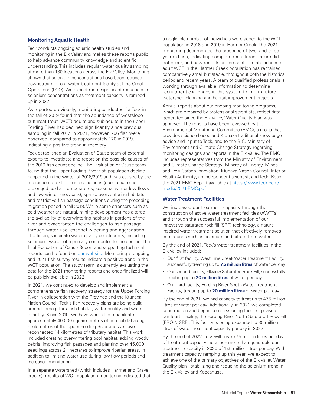#### <span id="page-4-0"></span>**Monitoring Aquatic Health**

Teck conducts ongoing aquatic health studies and monitoring in the Elk Valley and makes these reports public to help advance community knowledge and scientific understanding. This includes regular water quality sampling at more than 130 locations across the Elk Valley. Monitoring shows that selenium concentrations have been reduced downstream of our water treatment facility at Line Creek Operations (LCO). We expect more significant reductions in selenium concentrations as treatment capacity is ramped up in 2022.

As reported previously, monitoring conducted for Teck in the fall of 2019 found that the abundance of westslope cutthroat trout (WCT) adults and sub-adults in the upper Fording River had declined significantly since previous sampling in fall 2017. In 2021, however, 796 fish were observed, compared to approximately 170 in 2019, indicating a positive trend in recovery.

Teck established an Evaluation of Cause team of external experts to investigate and report on the possible causes of the 2019 fish count decline. The Evaluation of Cause team found that the upper Fording River fish population decline happened in the winter of 2018/2019 and was caused by the interaction of extreme ice conditions (due to extreme prolonged cold air temperatures, seasonal winter low flows and low winter snowpack), sparse overwintering habitats and restrictive fish passage conditions during the preceding migration period in fall 2018. While some stressors such as cold weather are natural, mining development has altered the availability of overwintering habitats in portions of the river and exacerbated the challenges to fish passage through water use, channel widening and aggradation. The findings indicate water quality constituents, including selenium, were not a primary contributor to the decline. The final Evaluation of Cause Report and supporting technical reports can be found on [our website.](https://www.teck.com/sustainability/sustainability-topics/water/water-quality-in-the-elk-valley/research-and-monitoring-reports/) Monitoring is ongoing and 2021 fish survey results indicate a positive trend in the WCT population. The study team is currently evaluating the data for the 2021 monitoring reports and once finalized will be publicly available in 2022.

In 2021, we continued to develop and implement a comprehensive fish recovery strategy for the Upper Fording River in collaboration with the Province and the Ktunaxa Nation Council. Teck's fish recovery plans are being built around three pillars: fish habitat, water quality and water quantity. Since 2019, we have worked to rehabilitate approximately 40,000 square metres of fish habitat along 5 kilometres of the upper Fording River and we have reconnected 14 kilometres of tributary habitat. This work included creating overwintering pool habitat, adding woody debris, improving fish passages and planting over 45,000 seedlings across 21 hectares to improve riparian areas, in addition to limiting water use during low-flow periods and increased monitoring.

In a separate watershed (which includes Harmer and Grave creeks), results of WCT population monitoring indicated that a negligible number of individuals were added to the WCT population in 2018 and 2019 in Harmer Creek. The 2021 monitoring documented the presence of two- and threeyear old fish, indicating complete recruitment failure did not occur, and new recruits are present. The abundance of adult WCT in the Harmer Creek population has remained comparatively small but stable, throughout both the historical period and recent years. A team of qualified professionals is working through available information to determine recruitment challenges in this system to inform future watershed planning and habitat improvement projects.

Annual reports about our ongoing monitoring programs, which are prepared by professional scientists, reflect data generated since the Elk Valley Water Quality Plan was approved. The reports have been reviewed by the Environmental Monitoring Committee (EMC), a group that provides science-based and Ktunaxa traditional knowledge advice and input to Teck, and to the B.C. Ministry of Environment and Climate Change Strategy regarding monitoring designs and reports in the Elk Valley. The EMC includes representatives from the Ministry of Environment and Climate Change Strategy; Ministry of Energy, Mines and Low Carbon Innovation; Ktunaxa Nation Council; Interior Health Authority; an independent scientist; and Teck. Read the 2021 EMC Report available at [https://www.teck.com/](https://www.teck.com/media/2021-EMC.pdf) [media/2021-EMC.pdf](https://www.teck.com/media/2021-EMC.pdf)

#### **Water Treatment Facilities**

We increased our treatment capacity through the construction of active water treatment facilities (AWTFs) and through the successful implementation of our innovative saturated rock fill (SRF) technology, a natureinspired water treatment solution that effectively removes compounds such as selenium and nitrate from water.

By the end of 2021, Teck's water treatment facilities in the Elk Valley included:

- Our first facility, West Line Creek Water Treatment Facility, successfully treating up to **7.5 million litres** of water per day
- Our second facility, Elkview Saturated Rock Fill, successfully treating up to **20 million litres** of water per day
- Our third facility, Fording River South Water Treatment Facility, treating up to **20 million litres** of water per day

By the end of 2021, we had capacity to treat up to 47.5 million litres of water per day. Additionally, in 2021 we completed construction and began commissioning the first phase of our fourth facility, the Fording River North Saturated Rock Fill (FRO-N SRF). This facility is being expanded to 30 million litres of water treatment capacity per day in 2022.

By the end of 2022, Teck will have 77.5 million litres per day of treatment capacity installed– more than quadruple our treatment capacity in 2020 of 17.5 million litres per day. With treatment capacity ramping up this year, we expect to achieve one of the primary objectives of the Elk Valley Water Quality plan - stabilizing and reducing the selenium trend in the Elk Valley and Koocanusa.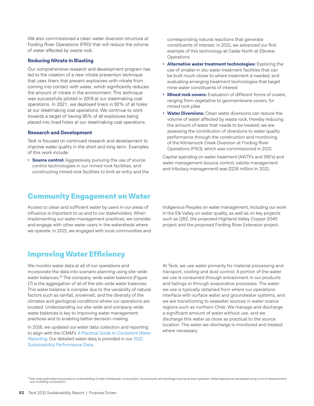We also commissioned a clean water diversion structure at Fording River Operations (FRO) that will reduce the volume of water affected by waste rock.

#### **Reducing Nitrate in Blasting**

Our comprehensive research and development program has led to the creation of a new nitrate prevention technique that uses liners that prevent explosives with nitrate from coming into contact with water, which significantly reduces the amount of nitrate in the environment. This technique was successfully piloted in 2019 at our steelmaking coal operations. In 2021, we deployed liners in 92% of all holes at our steelmaking coal operations. We continue to work towards a target of having 95% of all explosives being placed into lined holes at our steelmaking coal operations.

#### **Research and Development**

Teck is focused on continued research and development to improve water quality in the short and long term. Examples of this work include:

**• Source control:** Aggressively pursuing the use of source control technologies in our mined rock facilities, and constructing mined rock facilities to limit air entry and the

### Community Engagement on Water

Access to clean and sufficient water by users in our areas of influence is important to us and to our stakeholders. When implementing our water management practices, we consider and engage with other water users in the watersheds where we operate. In 2021, we engaged with local communities and

corresponding natural reactions that generate constituents of interest; in 2021, we advanced our first example of this technology at Cedar North at Elkview **Operations** 

- **• Alternative water treatment technologies:** Exploring the use of smaller in situ water treatment facilities that can be built much closer to where treatment is needed, and evaluating emerging treatment technologies that target mine water constituents of interest
- **• Mined rock covers:** Evaluation of different forms of covers, ranging from vegetative to geomembrane covers, for mined rock piles
- **• Water Diversions:** Clean water diversions can reduce the volume of water affected by waste rock, thereby reducing the amount of water that needs to be treated; we are assessing the contribution of diversions to water quality performance through the construction and monitoring of the Kilmarnock Creek Diversion at Fording River Operations (FRO), which was commissioned in 2021

Capital spending on water treatment (AWTFs and SRFs) and water management (source control, calcite management and tributary management) was \$226 million in 2021.

Indigenous Peoples on water management, including our work in the Elk Valley on water quality, as well as on key projects such as QB2, the proposed Highland Valley Copper 2040 project and the proposed Fording River Extension project.

## Improving Water Efficiency

We monitor water data at all of our operations and incorporate the data into scenario planning using site-wide water balances.<sup>24</sup> The company-wide water balance (Figure [17\)](#page-6-0) is the aggregation of all of the site-wide water balances. This water balance is complex due to the variability of natural factors such as rainfall, snowmelt, and the diversity of the climates and geological conditions where our operations are located. Understanding our site-wide and company-wide water balances is key to improving water management practices and to enabling better decision-making.

In 2018, we updated our water data collection and reporting to align with the ICMM's *[A Practical Guide to Consistent Water](https://www.icmm.com/en-gb/guidance/environmental-stewardship/water-reporting)  [Reporting](https://www.icmm.com/en-gb/guidance/environmental-stewardship/water-reporting)*. Our detailed water data is provided in our [2021](https://www.teck.com/media/Teck-2021-Sustainability-Performance-Data.xlsx)  [Sustainability Performance Data.](https://www.teck.com/media/Teck-2021-Sustainability-Performance-Data.xlsx)

At Teck, we use water primarily for material processing and transport, cooling and dust control. A portion of the water we use is consumed through entrainment in our products and tailings or through evaporative processes. The water we use is typically obtained from where our operations interface with surface water and groundwater systems, and we are transitioning to seawater sources in water-scarce regions such as northern Chile. We manage and discharge a significant amount of water without use, and we discharge this water as close as practical to the source location. The water we discharge is monitored and treated where necessary.

<sup>24</sup> Site-wide water balances provide an understanding of water withdrawals, consumption, reuse/recycle and discharge volumes at each operation. Water balances are developed using a mix of measurements and modelling computation.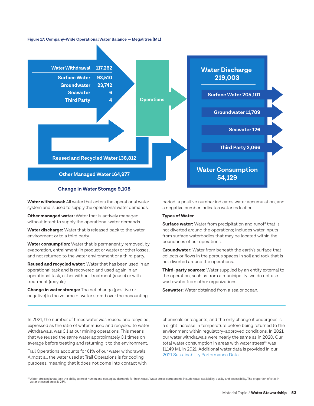<span id="page-6-0"></span>**Figure 17: Company-Wide Operational Water Balance — Megalitres (ML)**



#### **Change in Water Storage 9,108**

**Water withdrawal:** All water that enters the operational water system and is used to supply the operational water demands.

**Other managed water:** Water that is actively managed without intent to supply the operational water demands.

**Water discharge:** Water that is released back to the water environment or to a third party.

**Water consumption:** Water that is permanently removed, by evaporation, entrainment (in product or waste) or other losses, and not returned to the water environment or a third party.

**Reused and recycled water:** Water that has been used in an operational task and is recovered and used again in an operational task, either without treatment (reuse) or with treatment (recycle).

**Change in water storage:** The net change (positive or negative) in the volume of water stored over the accounting

period; a positive number indicates water accumulation, and a negative number indicates water reduction.

#### **Types of Water**

**Surface water:** Water from precipitation and runoff that is not diverted around the operations; includes water inputs from surface waterbodies that may be located within the boundaries of our operations.

**Groundwater:** Water from beneath the earth's surface that collects or flows in the porous spaces in soil and rock that is not diverted around the operations.

**Third-party sources:** Water supplied by an entity external to the operation, such as from a municipality; we do not use wastewater from other organizations.

**Seawater:** Water obtained from a sea or ocean.

In 2021, the number of times water was reused and recycled, expressed as the ratio of water reused and recycled to water withdrawals, was 3.1 at our mining operations. This means that we reused the same water approximately 3.1 times on average before treating and returning it to the environment.

Trail Operations accounts for 61% of our water withdrawals. Almost all the water used at Trail Operations is for cooling purposes, meaning that it does not come into contact with

chemicals or reagents, and the only change it undergoes is a slight increase in temperature before being returned to the environment within regulatory-approved conditions. In 2021, our water withdrawals were nearly the same as in 2020. Our total water consumption in areas with water stress<sup>25</sup> was 11,149 ML in 2021. Additional water data is provided in our [2021 Sustainability Performance Data.](https://www.teck.com/media/Teck-2021-Sustainability-Performance-Data.xlsx) 

<sup>25</sup> Water-stressed areas lack the ability to meet human and ecological demands for fresh water. Water stress components include water availability, quality and accessibility. The proportion of sites in water-stressed areas is 25%.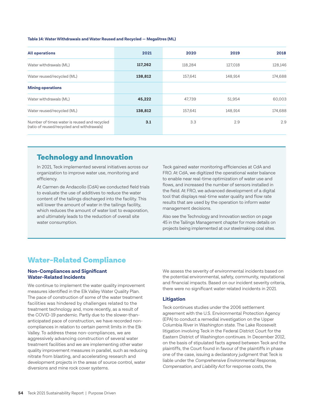#### **Table 14: Water Withdrawals and Water Reused and Recycled — Megalitres (ML)**

| <b>All operations</b>                                                                      | 2021    | 2020    | 2019    | 2018    |
|--------------------------------------------------------------------------------------------|---------|---------|---------|---------|
| Water withdrawals (ML)                                                                     | 117,262 | 118,284 | 127,018 | 128,146 |
| Water reused/recycled (ML)                                                                 | 138,812 | 157,641 | 148,914 | 174,688 |
| <b>Mining operations</b>                                                                   |         |         |         |         |
| Water withdrawals (ML)                                                                     | 45,222  | 47,739  | 51,954  | 60.003  |
| Water reused/recycled (ML)                                                                 | 138,812 | 157,641 | 148,914 | 174,688 |
| Number of times water is reused and recycled<br>(ratio of reused/recycled and withdrawals) | 3.1     | 3.3     | 2.9     | 2.9     |

### Technology and Innovation

In 2021, Teck implemented several initiatives across our organization to improve water use, monitoring and efficiency.

At Carmen de Andacollo (CdA) we conducted field trials to evaluate the use of additives to reduce the water content of the tailings discharged into the facility. This will lower the amount of water in the tailings facility, which reduces the amount of water lost to evaporation, and ultimately leads to the reduction of overall site water consumption.

Teck gained water monitoring efficiencies at CdA and FRO. At CdA, we digitized the operational water balance to enable near real-time optimization of water use and flows, and increased the number of sensors installed in the field. At FRO, we advanced development of a digital tool that displays real-time water quality and flow rate results that are used by the operation to inform water management decisions.

Also see the Technology and Innovation section [on page](#page--1-0)  [45](#page--1-0) in the Tailings Management chapter for more details on projects being implemented at our steelmaking coal sites.

## Water-Related Compliance

#### **Non-Compliances and Significant Water-Related Incidents**

We continue to implement the water quality improvement measures identified in the Elk Valley Water Quality Plan. The pace of construction of some of the water treatment facilities was hindered by challenges related to the treatment technology and, more recently, as a result of the COVID-19 pandemic. Partly due to the slower-thananticipated pace of construction, we have recorded noncompliances in relation to certain permit limits in the Elk Valley. To address these non-compliances, we are aggressively advancing construction of several water treatment facilities and we are implementing other water quality improvement measures in parallel, such as reducing nitrate from blasting, and accelerating research and development projects in the areas of source control, water diversions and mine rock cover systems.

We assess the severity of environmental incidents based on the potential environmental, safety, community, reputational and financial impacts. Based on our incident severity criteria, there were no significant water-related incidents in 2021.

#### **Litigation**

Teck continues studies under the 2006 settlement agreement with the U.S. Environmental Protection Agency (EPA) to conduct a remedial investigation on the Upper Columbia River in Washington state. The Lake Roosevelt litigation involving Teck in the Federal District Court for the Eastern District of Washington continues. In December 2012, on the basis of stipulated facts agreed between Teck and the plaintiffs, the Court found in favour of the plaintiffs in phase one of the case, issuing a declaratory judgment that Teck is liable under the *Comprehensive Environmental Response, Compensation, and Liability Act* for response costs, the